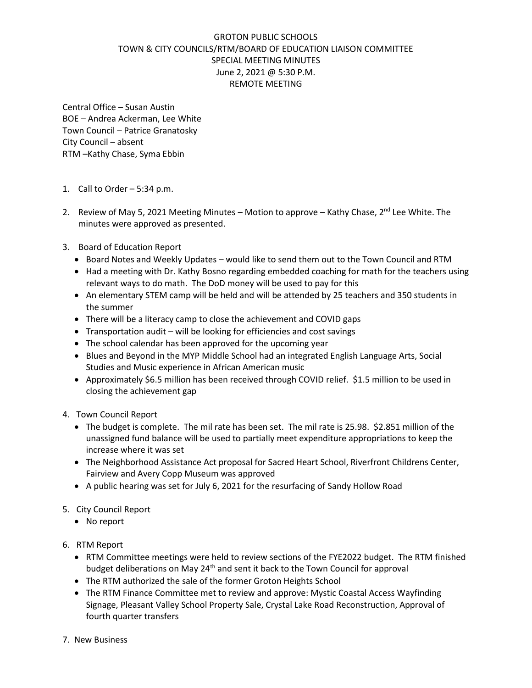## GROTON PUBLIC SCHOOLS TOWN & CITY COUNCILS/RTM/BOARD OF EDUCATION LIAISON COMMITTEE SPECIAL MEETING MINUTES June 2, 2021 @ 5:30 P.M. REMOTE MEETING

Central Office – Susan Austin BOE – Andrea Ackerman, Lee White Town Council – Patrice Granatosky City Council – absent RTM –Kathy Chase, Syma Ebbin

- 1. Call to Order 5:34 p.m.
- 2. Review of May 5, 2021 Meeting Minutes Motion to approve Kathy Chase,  $2^{nd}$  Lee White. The minutes were approved as presented.
- 3. Board of Education Report
	- Board Notes and Weekly Updates would like to send them out to the Town Council and RTM
	- Had a meeting with Dr. Kathy Bosno regarding embedded coaching for math for the teachers using relevant ways to do math. The DoD money will be used to pay for this
	- An elementary STEM camp will be held and will be attended by 25 teachers and 350 students in the summer
	- There will be a literacy camp to close the achievement and COVID gaps
	- Transportation audit will be looking for efficiencies and cost savings
	- The school calendar has been approved for the upcoming year
	- Blues and Beyond in the MYP Middle School had an integrated English Language Arts, Social Studies and Music experience in African American music
	- Approximately \$6.5 million has been received through COVID relief. \$1.5 million to be used in closing the achievement gap
- 4. Town Council Report
	- The budget is complete. The mil rate has been set. The mil rate is 25.98. \$2.851 million of the unassigned fund balance will be used to partially meet expenditure appropriations to keep the increase where it was set
	- The Neighborhood Assistance Act proposal for Sacred Heart School, Riverfront Childrens Center, Fairview and Avery Copp Museum was approved
	- A public hearing was set for July 6, 2021 for the resurfacing of Sandy Hollow Road
- 5. City Council Report
	- No report
- 6. RTM Report
	- RTM Committee meetings were held to review sections of the FYE2022 budget. The RTM finished budget deliberations on May 24<sup>th</sup> and sent it back to the Town Council for approval
	- The RTM authorized the sale of the former Groton Heights School
	- The RTM Finance Committee met to review and approve: Mystic Coastal Access Wayfinding Signage, Pleasant Valley School Property Sale, Crystal Lake Road Reconstruction, Approval of fourth quarter transfers
- 7. New Business